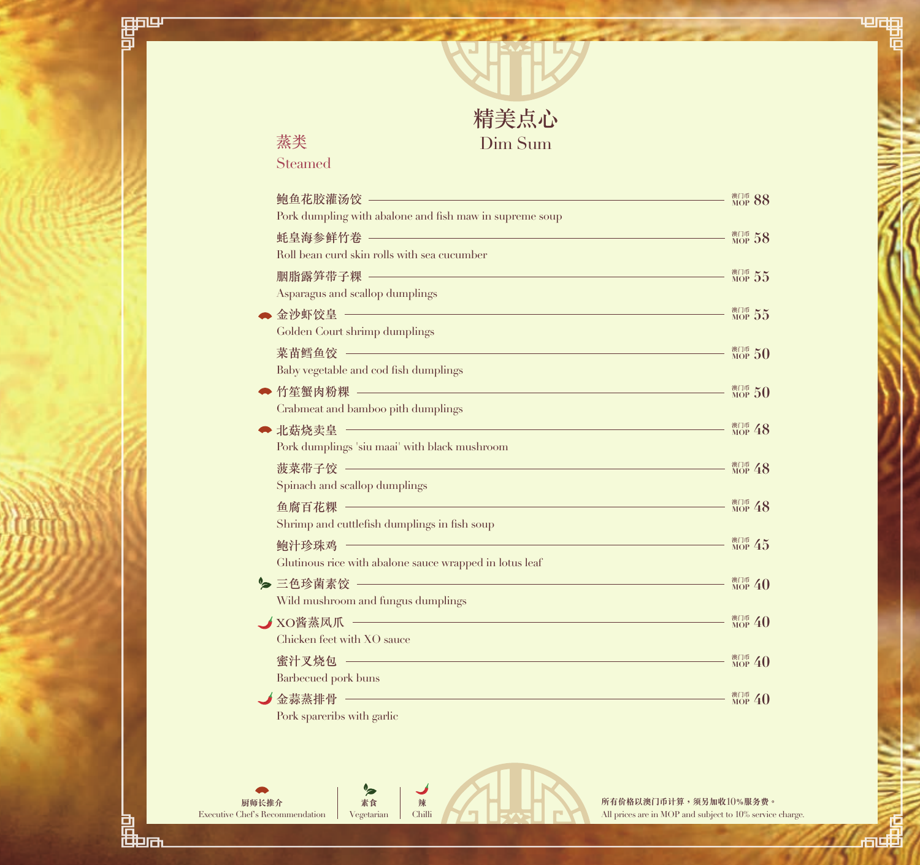

## 蒸类

酽

Steamed

|   | 鲍鱼花胶灌汤饺 ———————————————————————                         | <sup>澳门币</sup> 88                |
|---|---------------------------------------------------------|----------------------------------|
|   | Pork dumpling with abalone and fish maw in supreme soup |                                  |
|   | <u> 蚝皇海参鲜竹卷 —————————————————————————————</u>           | <sup>澳门币</sup> 58                |
|   | Roll bean curd skin rolls with sea cucumber             |                                  |
|   | 胭脂露笋带子粿 —————————————————————————————                   | <sup>澳门币</sup> 55                |
|   | Asparagus and scallop dumplings                         |                                  |
|   | 金沙虾饺皇 ————————————————————————————————                  | 澳门币 55                           |
|   | Golden Court shrimp dumplings                           |                                  |
|   |                                                         | <sup>澳门币</sup> 50                |
|   | Baby vegetable and cod fish dumplings                   |                                  |
|   | 竹笙蟹肉粉粿 —————————————————————————————                    | <sup>澳门币</sup> 50                |
|   | Crabmeat and bamboo pith dumplings                      |                                  |
| Þ | 北菇烧卖皇 ——————————————————————————————                    | <sup>澳门币</sup> 48                |
|   | Pork dumplings 'siu maai' with black mushroom           |                                  |
|   |                                                         | <sup>澳门币</sup> 48                |
|   | Spinach and scallop dumplings                           |                                  |
|   |                                                         | <sup>澳门币</sup> 48                |
|   | Shrimp and cuttlefish dumplings in fish soup            |                                  |
|   | 鲍汁珍珠鸡                                                   | <sup>澳门币</sup> 45                |
|   | Glutinous rice with abalone sauce wrapped in lotus leaf |                                  |
|   | ● 三色珍菌素饺 ―――――――――――――――――――――――――――――――                | $_{\text{MOP}}^{\text{MTH}}$ 40  |
|   | Wild mushroom and fungus dumplings                      |                                  |
|   |                                                         | $\frac{\text{R}}{\text{MOP}}$ 40 |
|   | Chicken feet with XO sauce                              |                                  |
|   | 蜜汁又烧包 ————————————————————————                          | <sup>澳门币</sup> 40                |
|   | Barbecued pork buns                                     |                                  |
|   | 金蒜蒸排骨 ——————————————————————————————                    | <sup>澳门币</sup> 40                |
|   | Pork spareribs with garlic                              |                                  |

**素食** Vegetarian

**辣** Chilli

**所有價格以澳門幣計算,須另加收**10**%服務費。** All prices are in MOP and subject to 10% service charge. 画

**Jouth** 

匠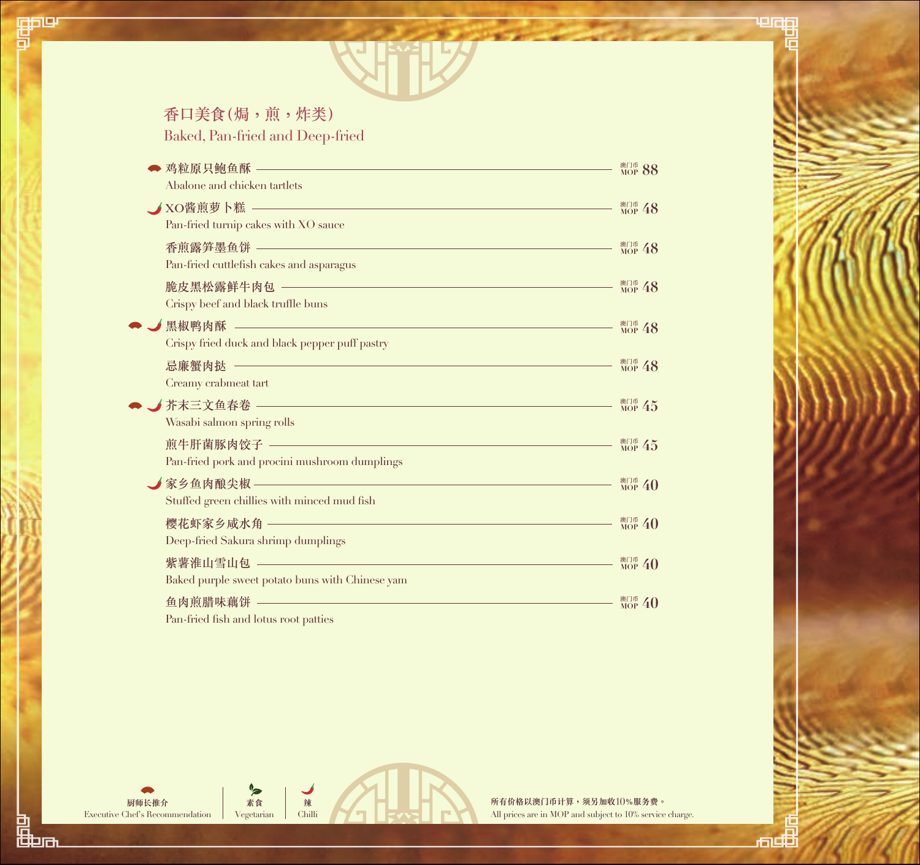## 香口美食(焗,煎,炸類)

酽

Baked, Pan-fried and Deep-fried

| ◆ 鸡粒原只鲍鱼酥 ————————————————————<br>Abalone and chicken tartlets                                                          | <sup>澳门币</sup> 88                |
|-------------------------------------------------------------------------------------------------------------------------|----------------------------------|
| Pan-fried turnip cakes with XO sauce                                                                                    | <sup>澳门币</sup> 48                |
|                                                                                                                         | <sup>澳门币</sup> 48                |
| Pan-fried cuttlefish cakes and asparagus<br>脆皮黑松露鲜牛肉包 ———————————————————————————<br>Crispy beef and black truffle buns | <sup>澳门币</sup> 48                |
| 黑椒鸭肉酥 —————————————————————————————<br>Crispy fried duck and black pepper puff pastry                                   | $_{\text{MOP}}$ 48               |
| Creamy crabmeat tart                                                                                                    | <sup>澳门币</sup> 48                |
| Wasabi salmon spring rolls                                                                                              | $MOP$ 45                         |
| 煎牛肝菌豚肉饺子 ———————————————————————————<br>Pan-fried pork and procini mushroom dumplings                                   | $MOP$ 45                         |
| 家乡鱼肉酿尖椒 —————————————————————————<br>Stuffed green chillies with minced mud fish                                        | <sup>澳门币</sup> 40                |
| 樱花虾家乡咸水角 ――――――――――――――――――<br>Deep-fried Sakura shrimp dumplings                                                       | <sup>澳门币</sup> 40                |
| 紫薯淮山雪山包 ——————————————————————————<br>Baked purple sweet potato buns with Chinese yam                                   | $_{\text{MOP}}$ 40               |
| 鱼肉煎腊味藕饼 ————————————————————<br>Pan-fried fish and lotus root patties                                                   | $\frac{\text{R}}{\text{MOP}}$ 40 |

**廚師長推介** Executive Chef's Recommendation

、<br>品<br>曲n

**素食** Vegetarian

**辣** Chilli **所有價格以澳門幣計算,須另加收**10**%服務費。** All prices are in MOP and subject to 10% service charge.

ᇜ

电面的 Ei